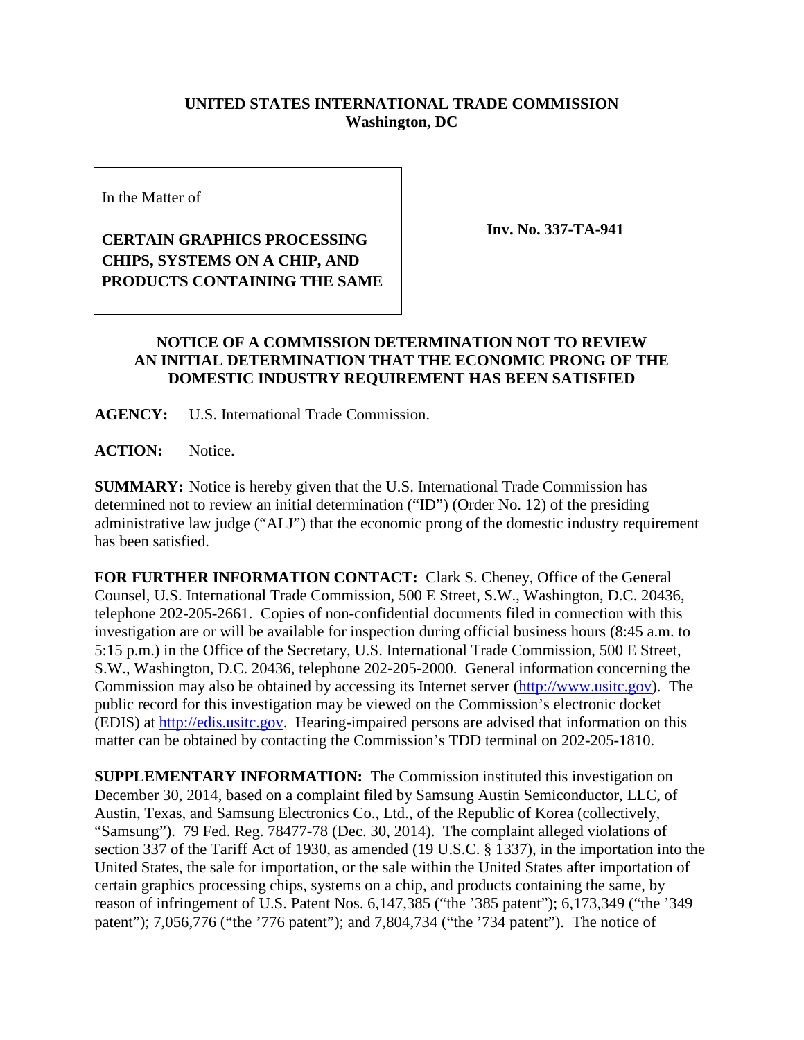## **UNITED STATES INTERNATIONAL TRADE COMMISSION Washington, DC**

In the Matter of

## **CERTAIN GRAPHICS PROCESSING CHIPS, SYSTEMS ON A CHIP, AND PRODUCTS CONTAINING THE SAME**

**Inv. No. 337-TA-941**

## **NOTICE OF A COMMISSION DETERMINATION NOT TO REVIEW AN INITIAL DETERMINATION THAT THE ECONOMIC PRONG OF THE DOMESTIC INDUSTRY REQUIREMENT HAS BEEN SATISFIED**

**AGENCY:** U.S. International Trade Commission.

**ACTION:** Notice.

**SUMMARY:** Notice is hereby given that the U.S. International Trade Commission has determined not to review an initial determination ("ID") (Order No. 12) of the presiding administrative law judge ("ALJ") that the economic prong of the domestic industry requirement has been satisfied.

**FOR FURTHER INFORMATION CONTACT:** Clark S. Cheney, Office of the General Counsel, U.S. International Trade Commission, 500 E Street, S.W., Washington, D.C. 20436, telephone 202-205-2661. Copies of non-confidential documents filed in connection with this investigation are or will be available for inspection during official business hours (8:45 a.m. to 5:15 p.m.) in the Office of the Secretary, U.S. International Trade Commission, 500 E Street, S.W., Washington, D.C. 20436, telephone 202-205-2000. General information concerning the Commission may also be obtained by accessing its Internet server [\(http://www.usitc.gov\)](http://www.usitc.gov/). The public record for this investigation may be viewed on the Commission's electronic docket (EDIS) at [http://edis.usitc.gov.](http://edis.usitc.gov/) Hearing-impaired persons are advised that information on this matter can be obtained by contacting the Commission's TDD terminal on 202-205-1810.

**SUPPLEMENTARY INFORMATION:** The Commission instituted this investigation on December 30, 2014, based on a complaint filed by Samsung Austin Semiconductor, LLC, of Austin, Texas, and Samsung Electronics Co., Ltd., of the Republic of Korea (collectively, "Samsung"). 79 Fed. Reg. 78477-78 (Dec. 30, 2014). The complaint alleged violations of section 337 of the Tariff Act of 1930, as amended (19 U.S.C. § 1337), in the importation into the United States, the sale for importation, or the sale within the United States after importation of certain graphics processing chips, systems on a chip, and products containing the same, by reason of infringement of U.S. Patent Nos. 6,147,385 ("the '385 patent"); 6,173,349 ("the '349 patent"); 7,056,776 ("the '776 patent"); and 7,804,734 ("the '734 patent"). The notice of